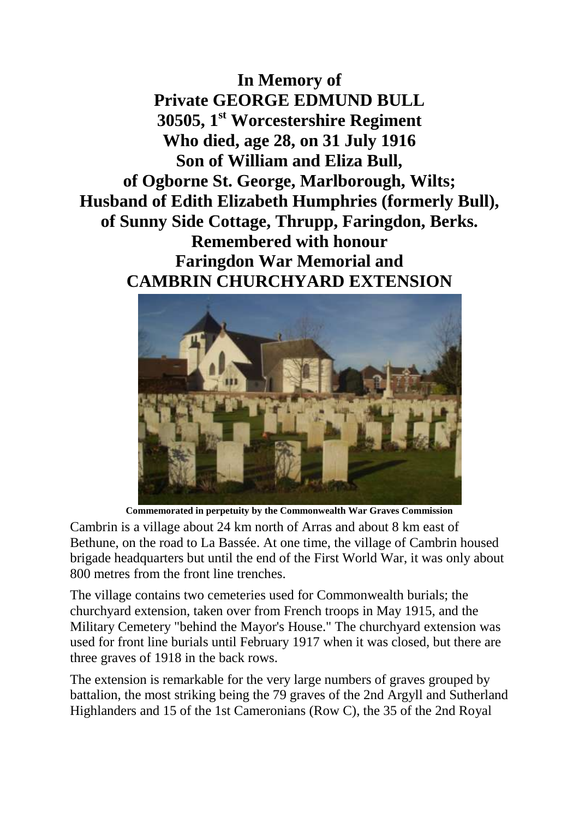**In Memory of Private GEORGE EDMUND BULL 30505, 1st Worcestershire Regiment Who died, age 28, on 31 July 1916 Son of William and Eliza Bull, of Ogborne St. George, Marlborough, Wilts; Husband of Edith Elizabeth Humphries (formerly Bull), of Sunny Side Cottage, Thrupp, Faringdon, Berks. Remembered with honour Faringdon War Memorial and CAMBRIN CHURCHYARD EXTENSION**



**Commemorated in perpetuity by the Commonwealth War Graves Commission** 

Cambrin is a village about 24 km north of Arras and about 8 km east of Bethune, on the road to La Bassée. At one time, the village of Cambrin housed brigade headquarters but until the end of the First World War, it was only about 800 metres from the front line trenches.

The village contains two cemeteries used for Commonwealth burials; the churchyard extension, taken over from French troops in May 1915, and the Military Cemetery "behind the Mayor's House." The churchyard extension was used for front line burials until February 1917 when it was closed, but there are three graves of 1918 in the back rows.

The extension is remarkable for the very large numbers of graves grouped by battalion, the most striking being the 79 graves of the 2nd Argyll and Sutherland Highlanders and 15 of the 1st Cameronians (Row C), the 35 of the 2nd Royal